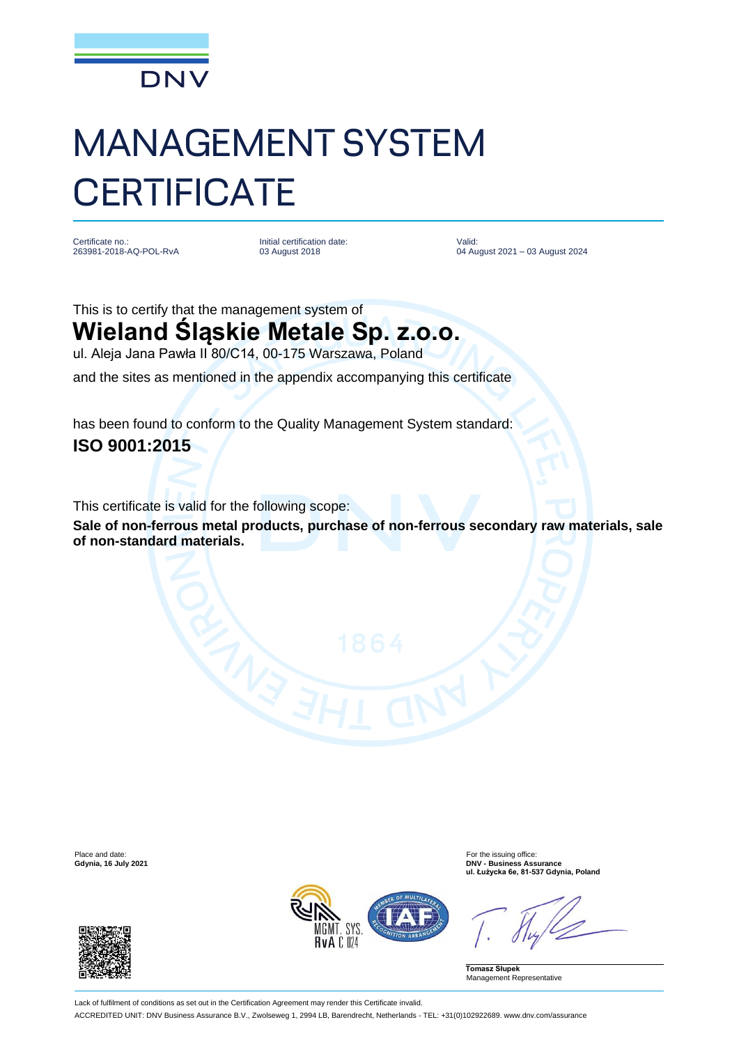

## MANAGEMENT SYSTEM **CERTIFICATE**

Certificate no. 263981-2018-AQ-POL-RvA Initial certification date: 03 August 2018

Valid: 04 August 2021 – 03 August 2024

This is to certify that the management system of **Wieland Śląskie Metale Sp. z.o.o.** ul. Aleja Jana Pawła II 80/C14, 00-175 Warszawa, Poland

and the sites as mentioned in the appendix accompanying this certificate

has been found to conform to the Quality Management System standard: **ISO 9001:2015**

This certificate is valid for the following scope:

**Sale of non-ferrous metal products, purchase of non-ferrous secondary raw materials, sale of non-standard materials.**





Place and date:<br> **Place and date:** For the issuing office:<br> **Calynia, 16 July 2021**<br> **DNV - Business Ass Gdynia, 16 July 2021 DNV - Business Assurance ul. Łużycka 6e, 81-537 Gdynia, Poland**

**Tomasz Słupek** Management Representative

Lack of fulfilment of conditions as set out in the Certification Agreement may render this Certificate invalid. ACCREDITED UNIT: DNV Business Assurance B.V., Zwolseweg 1, 2994 LB, Barendrecht, Netherlands - TEL: +31(0)102922689. www.dnv.com/assurance